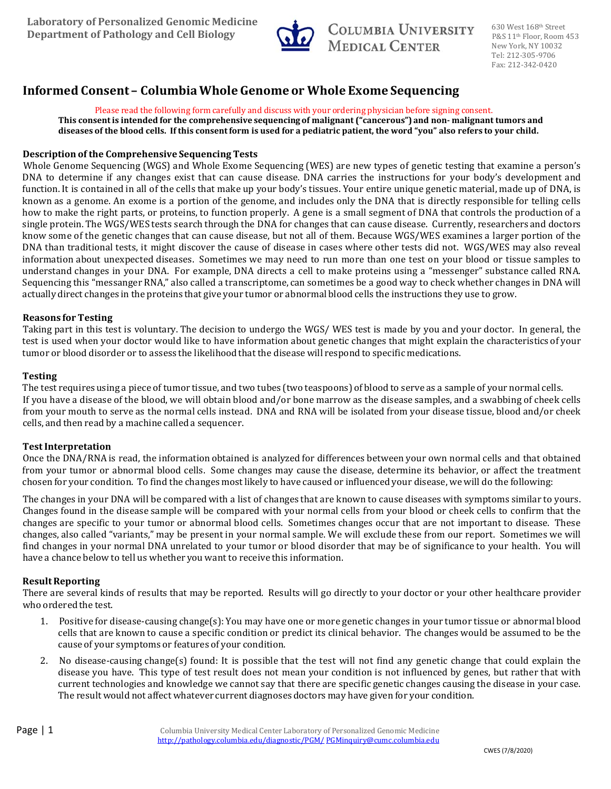

COLUMBIA UNIVERSITY **MEDICAL CENTER** 

630 West 168th Street P&S 11<sup>th</sup> Floor, Room 453 New York, NY 10032 Tel: 212‐305‐9706 Fax: 212‐342‐0420

# **Informed Consent – ColumbiaWhole Genome or Whole Exome Sequencing**

Please read the following form carefully and discuss with your ordering physician before signing consent. This consent is intended for the comprehensive sequencing of malignant ("cancerous") and non-malignant tumors and diseases of the blood cells. If this consent form is used for a pediatric patient, the word "you" also refers to your child.

## **Description of the Comprehensive Sequencing Tests**

Whole Genome Sequencing (WGS) and Whole Exome Sequencing (WES) are new types of genetic testing that examine a person's DNA to determine if any changes exist that can cause disease. DNA carries the instructions for your body's development and function. It is contained in all of the cells that make up your body's tissues. Your entire unique genetic material, made up of DNA, is known as a genome. An exome is a portion of the genome, and includes only the DNA that is directly responsible for telling cells how to make the right parts, or proteins, to function properly. A gene is a small segment of DNA that controls the production of a single protein. The WGS/WES tests search through the DNA for changes that can cause disease. Currently, researchers and doctors know some of the genetic changes that can cause disease, but not all of them. Because WGS/WES examines a larger portion of the DNA than traditional tests, it might discover the cause of disease in cases where other tests did not. WGS/WES may also reveal information about unexpected diseases. Sometimes we may need to run more than one test on your blood or tissue samples to understand changes in your DNA. For example, DNA directs a cell to make proteins using a "messenger" substance called RNA. Sequencing this "messanger RNA," also called a transcriptome, can sometimes be a good way to check whether changes in DNA will actually direct changes in the proteins that give your tumor or abnormal blood cells the instructions they use to grow.

## **Reasons for Testing**

Taking part in this test is voluntary. The decision to undergo the WGS/ WES test is made by you and your doctor. In general, the test is used when your doctor would like to have information about genetic changes that might explain the characteristics of your tumor or blood disorder or to assess the likelihood that the disease will respond to specific medications.

## **Testing**

The test requires using a piece of tumor tissue, and two tubes (two teaspoons) of blood to serve as a sample of your normal cells. If you have a disease of the blood, we will obtain blood and/or bone marrow as the disease samples, and a swabbing of cheek cells from your mouth to serve as the normal cells instead. DNA and RNA will be isolated from your disease tissue, blood and/or cheek cells, and then read by a machine called a sequencer.

# **TestInterpretation**

Once the DNA/RNA is read, the information obtained is analyzed for differences between your own normal cells and that obtained from your tumor or abnormal blood cells. Some changes may cause the disease, determine its behavior, or affect the treatment chosen for your condition. To find the changes most likely to have caused or influenced your disease, we will do the following:

The changes in your DNA will be compared with a list of changes that are known to cause diseases with symptoms similar to yours. Changes found in the disease sample will be compared with your normal cells from your blood or cheek cells to confirm that the changes are specific to your tumor or abnormal blood cells. Sometimes changes occur that are not important to disease. These changes, also called "variants," may be present in your normal sample. We will exclude these from our report. Sometimes we will find changes in your normal DNA unrelated to your tumor or blood disorder that may be of significance to your health. You will have a chance below to tell us whether you want to receive this information.

# **Result Reporting**

There are several kinds of results that may be reported. Results will go directly to your doctor or your other healthcare provider who ordered the test.

- 1. Positive for disease-causing change(s): You may have one or more genetic changes in your tumor tissue or abnormal blood cells that are known to cause a specific condition or predict its clinical behavior. The changes would be assumed to be the cause of your symptoms or features of your condition.
- 2. No disease-causing change(s) found: It is possible that the test will not find any genetic change that could explain the disease you have. This type of test result does not mean your condition is not influenced by genes, but rather that with current technologies and knowledge we cannot say that there are specific genetic changes causing the disease in your case. The result would not affect whatever current diagnoses doctors may have given for your condition.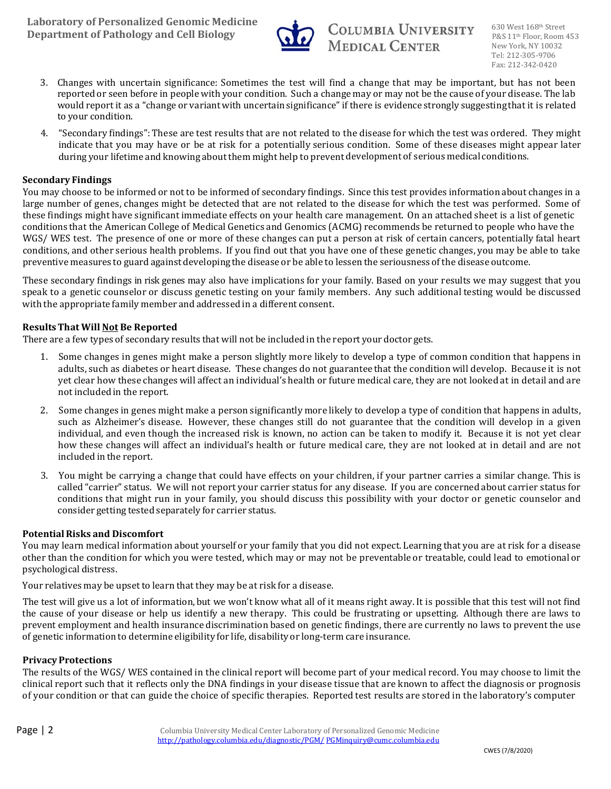

- 3. Changes with uncertain significance: Sometimes the test will find a change that may be important, but has not been reported or seen before in people with your condition. Such a change may or may not be the cause of your disease. The lab would report it as a "change or variant with uncertain significance" if there is evidence strongly suggesting that it is related to your condition.
- 4. "Secondary findings": These are test results that are not related to the disease for which the test was ordered. They might indicate that you may have or be at risk for a potentially serious condition. Some of these diseases might appear later during your lifetime and knowing about them might help to prevent development of serious medical conditions.

# **Secondary Findings**

You may choose to be informed or not to be informed of secondary findings. Since this test provides information about changes in a large number of genes, changes might be detected that are not related to the disease for which the test was performed. Some of these findings might have significant immediate effects on your health care management. On an attached sheet is a list of genetic conditions that the American College of Medical Genetics and Genomics (ACMG) recommends be returned to people who have the WGS/ WES test. The presence of one or more of these changes can put a person at risk of certain cancers, potentially fatal heart conditions, and other serious health problems. If you find out that you have one of these genetic changes, you may be able to take preventive measures to guard against developing the disease or be able to lessen the seriousness of the disease outcome.

These secondary findings in risk genes may also have implications for your family. Based on your results we may suggest that you speak to a genetic counselor or discuss genetic testing on your family members. Any such additional testing would be discussed with the appropriate family member and addressed in a different consent.

## **ResultsThat Will Not Be Reported**

There are a few types of secondary results that will not be included in the report your doctor gets.

- 1. Some changes in genes might make a person slightly more likely to develop a type of common condition that happens in adults, such as diabetes or heart disease. These changes do not guarantee that the condition will develop. Because it is not yet clear how these changes will affect an individual's health or future medical care, they are not looked at in detail and are not included in the report.
- 2. Some changes in genes might make a person significantly more likely to develop a type of condition that happens in adults, such as Alzheimer's disease. However, these changes still do not guarantee that the condition will develop in a given individual, and even though the increased risk is known, no action can be taken to modify it. Because it is not yet clear how these changes will affect an individual's health or future medical care, they are not looked at in detail and are not included in the report.
- 3. You might be carrying a change that could have effects on your children, if your partner carries a similar change. This is called "carrier" status. We will not report your carrier status for any disease. If you are concerned about carrier status for conditions that might run in your family, you should discuss this possibility with your doctor or genetic counselor and consider getting tested separately for carrier status.

# **PotentialRisks and Discomfort**

You may learn medical information about yourself or your family that you did not expect. Learning that you are at risk for a disease other than the condition for which you were tested, which may or may not be preventable or treatable, could lead to emotional or psychological distress.

Your relatives may be upset to learn that they may be at risk for a disease.

The test will give us a lot of information, but we won't know what all of it means right away. It is possible that this test will not find the cause of your disease or help us identify a new therapy. This could be frustrating or upsetting. Although there are laws to prevent employment and health insurance discrimination based on genetic findings, there are currently no laws to prevent the use of genetic information to determine eligibility for life, disability or long-term care insurance.

## **PrivacyProtections**

The results of the WGS/ WES contained in the clinical report will become part of your medical record. You may choose to limit the clinical report such that it reflects only the DNA findings in your disease tissue that are known to affect the diagnosis or prognosis of your condition or that can guide the choice of specific therapies. Reported test results are stored in the laboratory's computer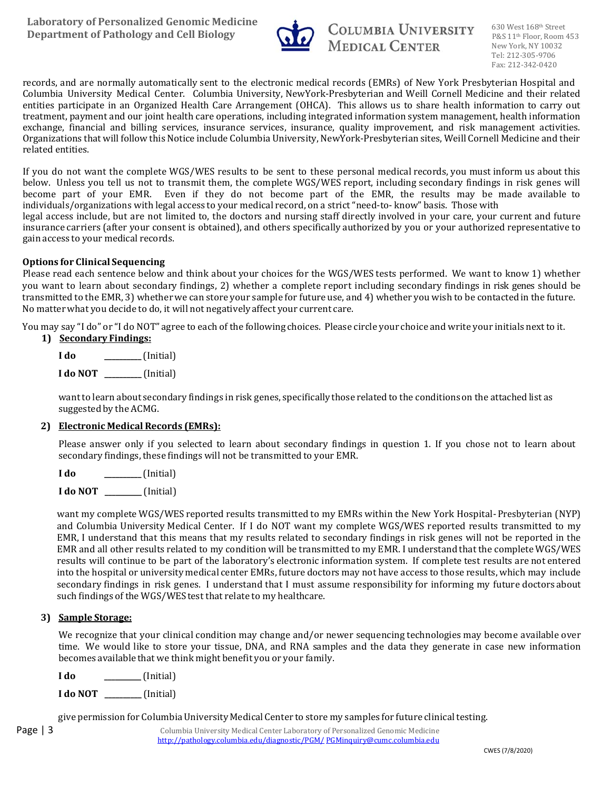

records, and are normally automatically sent to the electronic medical records (EMRs) of New York Presbyterian Hospital and Columbia University Medical Center. Columbia University, NewYork-Presbyterian and Weill Cornell Medicine and their related entities participate in an Organized Health Care Arrangement (OHCA). This allows us to share health information to carry out treatment, payment and our joint health care operations, including integrated information system management, health information exchange, financial and billing services, insurance services, insurance, quality improvement, and risk management activities. Organizations that will follow this Notice include Columbia University, NewYork-Presbyterian sites, Weill Cornell Medicine and their related entities.

If you do not want the complete WGS/WES results to be sent to these personal medical records, you must inform us about this below. Unless you tell us not to transmit them, the complete WGS/WES report, including secondary findings in risk genes will become part of your EMR. Even if they do not become part of the EMR, the results may be made available to individuals/organizations with legal access to your medical record, on a strict "need-to- know" basis. Those with legal access include, but are not limited to, the doctors and nursing staff directly involved in your care, your current and future insurance carriers (after your consent is obtained), and others specifically authorized by you or your authorized representative to gain access to your medical records.

## **Options for Clinical Sequencing**

Please read each sentence below and think about your choices for the WGS/WES tests performed. We want to know 1) whether you want to learn about secondary findings, 2) whether a complete report including secondary findings in risk genes should be transmitted to the EMR, 3) whether we can store your sample for future use, and 4) whether you wish to be contacted in the future. No matter what you decide to do, it will not negatively affect your current care.

You may say "I do" or "I do NOT" agree to each of the following choices. Please circle your choice and write your initials next to it.

**1) Secondary Findings:**

**I do I do NOT \_\_\_\_\_\_\_\_\_\_**(Initial) **\_\_\_\_\_\_\_\_\_\_**(Initial) 

want to learn about secondary findings in risk genes, specifically those related to the conditions on the attached list as suggested by the ACMG.

## **2) Electronic Medical Records (EMRs):**

Please answer only if you selected to learn about secondary findings in question 1. If you chose not to learn about secondary findings, these findings will not be transmitted to your EMR.

**I do \_\_\_\_\_\_\_\_\_\_**(Initial) 

**I do NOT \_\_\_\_\_\_\_\_\_\_**(Initial)

want my complete WGS/WES reported results transmitted to my EMRs within the New York Hospital-Presbyterian (NYP) and Columbia University Medical Center. If I do NOT want my complete WGS/WES reported results transmitted to my EMR, I understand that this means that my results related to secondary findings in risk genes will not be reported in the EMR and all other results related to my condition will be transmitted to my EMR. I understand that the complete WGS/WES results will continue to be part of the laboratory's electronic information system. If complete test results are not entered into the hospital or university medical center EMRs, future doctors may not have access to those results, which may include secondary findings in risk genes. I understand that I must assume responsibility for informing my future doctors about such findings of the WGS/WES test that relate to my healthcare.

## **3) Sample Storage:**

We recognize that your clinical condition may change and/or newer sequencing technologies may become available over time. We would like to store your tissue, DNA, and RNA samples and the data they generate in case new information becomes available that we think might benefit you or your family.

**I do \_\_\_\_\_\_\_\_\_\_**(Initial) 

**I do NOT \_\_\_\_\_\_\_\_\_\_**(Initial)

give permission for Columbia University Medical Center to store my samples for future clinical testing.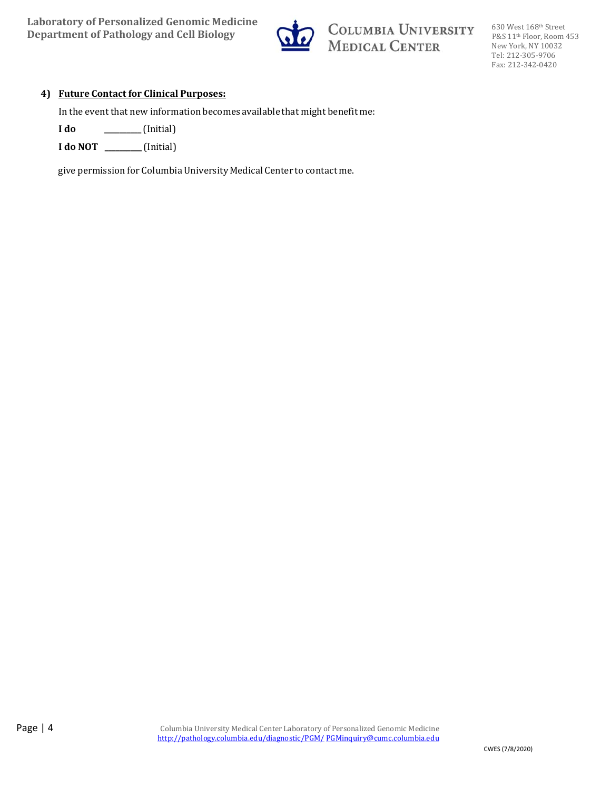

COLUMBIA UNIVERSITY<br>MEDICAL CENTER

630 West 168th Street P&S 11<sup>th</sup> Floor, Room 453 New York, NY 10032 Tel: 212‐305‐9706 Fax: 212‐342‐0420

## **4) Future Contact for Clinical Purposes:**

In the event that new information becomes available that might benefit me:

**I do \_\_\_\_\_\_\_\_\_\_**(Initial)

**I do NOT \_\_\_\_\_\_\_\_\_\_**(Initial)

give permission for Columbia University Medical Center to contact me.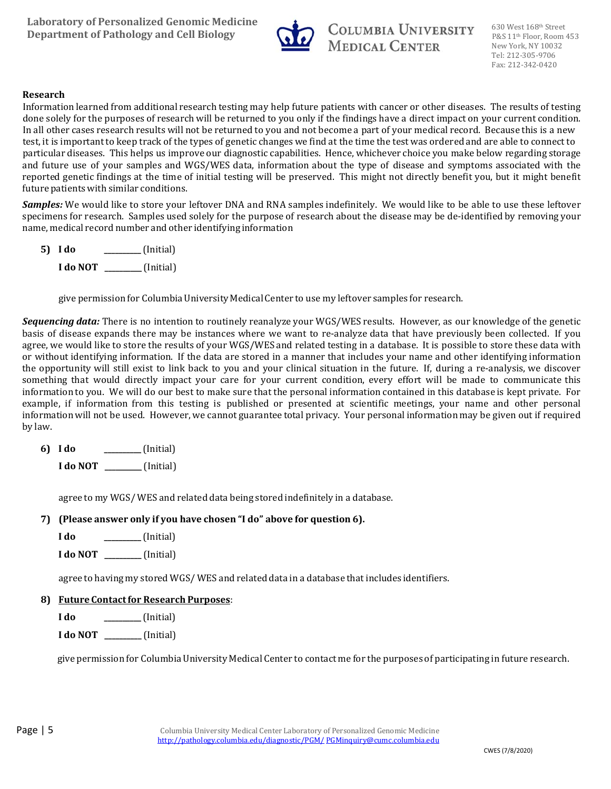

## **Research**

Information learned from additional research testing may help future patients with cancer or other diseases. The results of testing done solely for the purposes of research will be returned to you only if the findings have a direct impact on your current condition. In all other cases research results will not be returned to you and not become a part of your medical record. Because this is a new test, it is important to keep track of the types of genetic changes we find at the time the test was ordered and are able to connect to particular diseases. This helps us improve our diagnostic capabilities. Hence, whichever choice you make below regarding storage and future use of your samples and WGS/WES data, information about the type of disease and symptoms associated with the reported genetic findings at the time of initial testing will be preserved. This might not directly benefit you, but it might benefit future patients with similar conditions.

**Samples:** We would like to store your leftover DNA and RNA samples indefinitely. We would like to be able to use these leftover specimens for research. Samples used solely for the purpose of research about the disease may be de-identified by removing your name, medical record number and other identifying information

**5) I do I do NOT \_\_\_\_\_\_\_\_\_\_**(Initial) **\_\_\_\_\_\_\_\_\_\_**(Initial) 

give permission for Columbia University Medical Center to use my leftover samples for research.

**Sequencing data:** There is no intention to routinely reanalyze your WGS/WES results. However, as our knowledge of the genetic basis of disease expands there may be instances where we want to re-analyze data that have previously been collected. If you agree, we would like to store the results of your WGS/WES and related testing in a database. It is possible to store these data with or without identifying information. If the data are stored in a manner that includes your name and other identifying information the opportunity will still exist to link back to you and your clinical situation in the future. If, during a re-analysis, we discover something that would directly impact your care for your current condition, every effort will be made to communicate this information to you. We will do our best to make sure that the personal information contained in this database is kept private. For example, if information from this testing is published or presented at scientific meetings, your name and other personal information will not be used. However, we cannot guarantee total privacy. Your personal information may be given out if required by law.

**6) I do \_\_\_\_\_\_\_\_\_\_**(Initial) 

**I do NOT \_\_\_\_\_\_\_\_\_\_**(Initial)

agree to my WGS/WES and related data being stored indefinitely in a database.

# **7) (Please answer only if you have chosen "I do" above for question 6).**

**I do \_\_\_\_\_\_\_\_\_\_**(Initial)

**I do NOT \_\_\_\_\_\_\_\_\_\_**(Initial)

agree to having my stored  $WGS/WES$  and related data in a database that includes identifiers.

# **8) Future Contactfor Research Purposes**:

**I do \_\_\_\_\_\_\_\_\_\_**(Initial)

**I do NOT \_\_\_\_\_\_\_\_\_\_**(Initial)

give permission for Columbia University Medical Center to contact me for the purposes of participating in future research.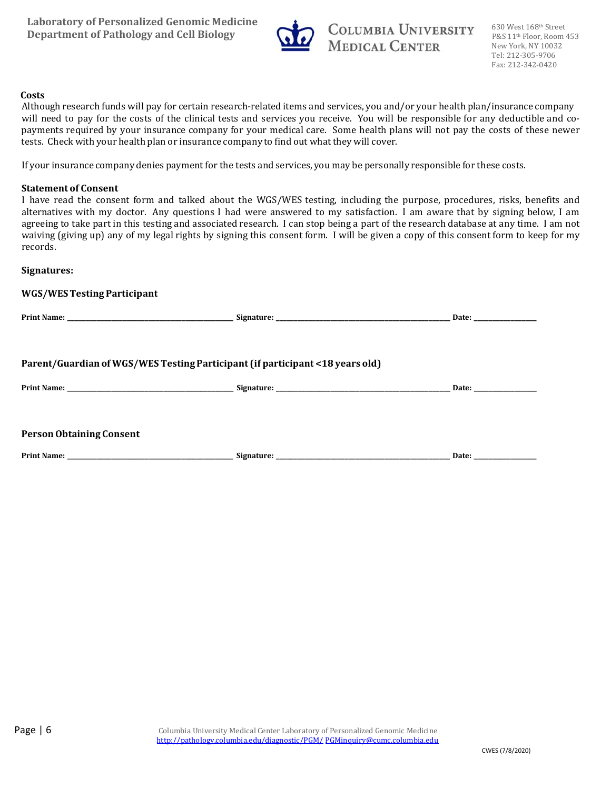

#### **Costs**

Although research funds will pay for certain research-related items and services, you and/or your health plan/insurance company will need to pay for the costs of the clinical tests and services you receive. You will be responsible for any deductible and copayments required by your insurance company for your medical care. Some health plans will not pay the costs of these newer tests. Check with your health plan or insurance company to find out what they will cover.

If your insurance company denies payment for the tests and services, you may be personally responsible for these costs.

## **Statement of Consent**

I have read the consent form and talked about the WGS/WES testing, including the purpose, procedures, risks, benefits and alternatives with my doctor. Any questions I had were answered to my satisfaction. I am aware that by signing below, I am agreeing to take part in this testing and associated research. I can stop being a part of the research database at any time. I am not waiving (giving up) any of my legal rights by signing this consent form. I will be given a copy of this consent form to keep for my records. 

## **Signatures:**

| <b>WGS/WES Testing Participant</b> |                                                                               |                       |
|------------------------------------|-------------------------------------------------------------------------------|-----------------------|
|                                    |                                                                               |                       |
|                                    | Parent/Guardian of WGS/WES Testing Participant (if participant <18 years old) |                       |
|                                    |                                                                               | Date: _______________ |
| <b>Person Obtaining Consent</b>    |                                                                               |                       |
|                                    |                                                                               |                       |